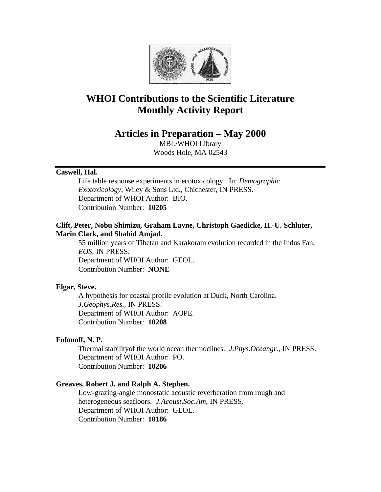

# **WHOI Contributions to the Scientific Literature Monthly Activity Report**

## **Articles in Preparation – May 2000**

MBL/WHOI Library Woods Hole, MA 02543

## **Caswell, Hal.**

Life table response experiments in ecotoxicology. In: *Demographic Exotoxicology,* Wiley & Sons Ltd., Chichester, IN PRESS. Department of WHOI Author: BIO. Contribution Number: **10205**

## **Clift, Peter, Nobu Shimizu, Graham Layne, Christoph Gaedicke, H.-U. Schluter, Marin Clark, and Shahid Amjad.**

55 million years of Tibetan and Karakoram evolution recorded in the Indus Fan. *EOS*, IN PRESS. Department of WHOI Author: GEOL. Contribution Number: **NONE**

## **Elgar, Steve.**

A hypothesis for coastal profile evolution at Duck, North Carolina. *J.Geophys.Res.*, IN PRESS. Department of WHOI Author: AOPE. Contribution Number: **10208**

## **Fofonoff, N. P.**

Thermal stabilityof the world ocean thermoclines. *J.Phys.Oceangr.*, IN PRESS. Department of WHOI Author: PO. Contribution Number: **10206**

## **Greaves, Robert J. and Ralph A. Stephen.**

Low-grazing-angle monostatic acoustic reverberation from rough and heterogeneous seafloors. *J.Acoust.Soc.Am*, IN PRESS. Department of WHOI Author: GEOL. Contribution Number: **10186**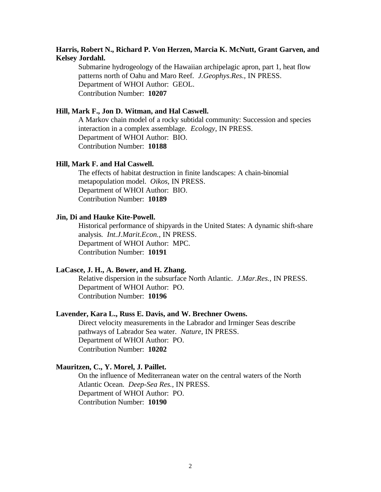## **Harris, Robert N., Richard P. Von Herzen, Marcia K. McNutt, Grant Garven, and Kelsey Jordahl.**

Submarine hydrogeology of the Hawaiian archipelagic apron, part 1, heat flow patterns north of Oahu and Maro Reef. *J.Geophys.Res.*, IN PRESS. Department of WHOI Author: GEOL. Contribution Number: **10207**

## **Hill, Mark F., Jon D. Witman, and Hal Caswell.**

A Markov chain model of a rocky subtidal community: Succession and species interaction in a complex assemblage. *Ecology*, IN PRESS. Department of WHOI Author: BIO. Contribution Number: **10188**

### **Hill, Mark F. and Hal Caswell.**

The effects of habitat destruction in finite landscapes: A chain-binomial metapopulation model. *Oikos*, IN PRESS. Department of WHOI Author: BIO. Contribution Number: **10189**

## **Jin, Di and Hauke Kite-Powell.**

Historical performance of shipyards in the United States: A dynamic shift-share analysis. *Int.J.Marit.Econ.*, IN PRESS. Department of WHOI Author: MPC. Contribution Number: **10191**

#### **LaCasce, J. H., A. Bower, and H. Zhang.**

Relative dispersion in the subsurface North Atlantic. *J.Mar.Res.*, IN PRESS. Department of WHOI Author: PO. Contribution Number: **10196**

## **Lavender, Kara L., Russ E. Davis, and W. Brechner Owens.**

Direct velocity measurements in the Labrador and Irminger Seas describe pathways of Labrador Sea water. *Nature*, IN PRESS. Department of WHOI Author: PO. Contribution Number: **10202**

## **Mauritzen, C., Y. Morel, J. Paillet.**

On the influence of Mediterranean water on the central waters of the North Atlantic Ocean. *Deep-Sea Res.*, IN PRESS. Department of WHOI Author: PO. Contribution Number: **10190**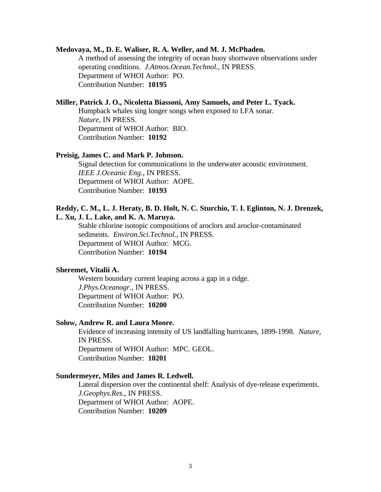#### **Medovaya, M., D. E. Waliser, R. A. Weller, and M. J. McPhaden.**

A method of assessing the integrity of ocean buoy shortwave observations under operating conditions. *J.Atmos.Ocean.Technol.*, IN PRESS. Department of WHOI Author: PO. Contribution Number: **10195**

## **Miller, Patrick J. O., Nicoletta Biassoni, Amy Samuels, and Peter L. Tyack.**

Humpback whales sing longer songs when exposed to LFA sonar. *Nature*, IN PRESS. Department of WHOI Author: BIO. Contribution Number: **10192**

#### **Preisig, James C. and Mark P. Johnson.**

Signal detection for communications in the underwater acoustic environment. *IEEE J.Oceanic Eng.*, IN PRESS. Department of WHOI Author: AOPE. Contribution Number: **10193**

## **Reddy, C. M., L. J. Heraty, B. D. Holt, N. C. Sturchio, T. I. Eglinton, N. J. Drenzek, L. Xu, J. L. Lake, and K. A. Maruya.**

Stable chlorine isotopic compositions of aroclors and aroclor-contaminated sediments. *Environ.Sci.Technol.*, IN PRESS. Department of WHOI Author: MCG. Contribution Number: **10194**

#### **Sheremet, Vitalii A.**

Western boundary current leaping across a gap in a ridge. *J.Phys.Oceanogr.*, IN PRESS. Department of WHOI Author: PO. Contribution Number: **10200**

#### **Solow, Andrew R. and Laura Moore.**

Evidence of increasing intensity of US landfalling hurricanes, 1899-1998. *Nature*, IN PRESS. Department of WHOI Author: MPC. GEOL. Contribution Number: **10201**

#### **Sundermeyer, Miles and James R. Ledwell.**

Lateral dispersion over the continental shelf: Analysis of dye-release experiments. *J.Geophys.Res.*, IN PRESS. Department of WHOI Author: AOPE. Contribution Number: **10209**